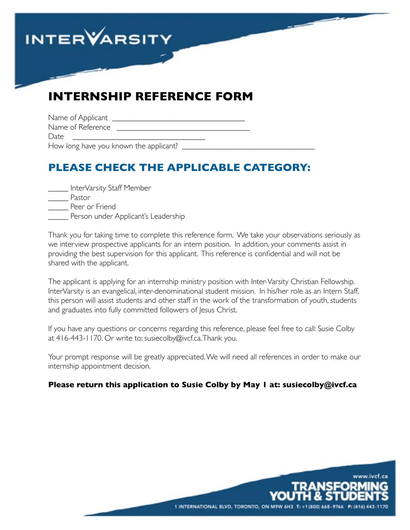

# **INTERNSHIP REFERENCE FORM**

| Name of Applicant |  |
|-------------------|--|
| Name of Reference |  |
| Date              |  |

How long have you known the applicant?

# **PLEASE CHECK THE APPLICABLE CATEGORY:**

| InterVarsity Staff Member           |
|-------------------------------------|
| Pastor                              |
| Peer or Friend                      |
| Person under Applicant's Leadership |
|                                     |

Thank you for taking time to complete this reference form. We take your observations seriously as we interview prospective applicants for an intern position. In addition, your comments assist in providing the best supervision for this applicant. This reference is confidential and will not be shared with the applicant.

The applicant is applying for an internship ministry position with Inter-Varsity Christian Fellowship. InterVarsity is an evangelical, inter-denominational student mission. In his/her role as an Intern Staff, this person will assist students and other staff in the work of the transformation of youth, students and graduates into fully committed followers of Jesus Christ.

If you have any questions or concerns regarding this reference, please feel free to call: Susie Colby at 416-443-1170. Or write to: susiecolby@ivcf.ca. Thank you.

Your prompt response will be greatly appreciated. We will need all references in order to make our internship appointment decision.

#### **Please return this application to Susie Colby by May 1 at: susiecolby@ivcf.ca**

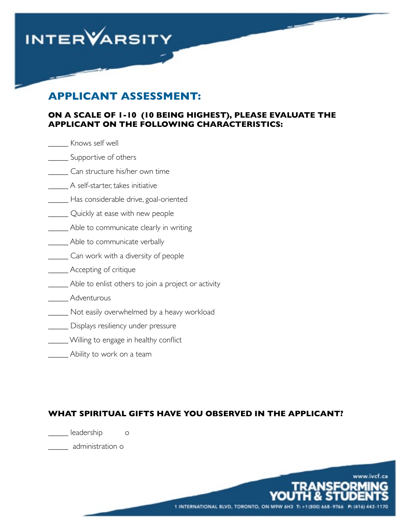

### **APPLICANT ASSESSMENT:**

#### **ON A SCALE OF 1-10 (10 BEING HIGHEST), PLEASE EVALUATE THE APPLICANT ON THE FOLLOWING CHARACTERISTICS:**

| Knows self well                                     |
|-----------------------------------------------------|
| Supportive of others                                |
| Can structure his/her own time                      |
| A self-starter, takes initiative                    |
| . Has considerable drive, goal-oriented             |
| Quickly at ease with new people                     |
| Able to communicate clearly in writing              |
| _ Able to communicate verbally                      |
| Can work with a diversity of people                 |
| Accepting of critique                               |
| Able to enlist others to join a project or activity |
| Adventurous                                         |
| Not easily overwhelmed by a heavy workload          |
| Displays resiliency under pressure                  |
| . Willing to engage in healthy conflict             |
| Ability to work on a team                           |

#### **WHAT SPIRITUAL GIFTS HAVE YOU OBSERVED IN THE APPLICANT?**

\_\_\_\_\_ leadership o

\_\_\_\_\_ administration o

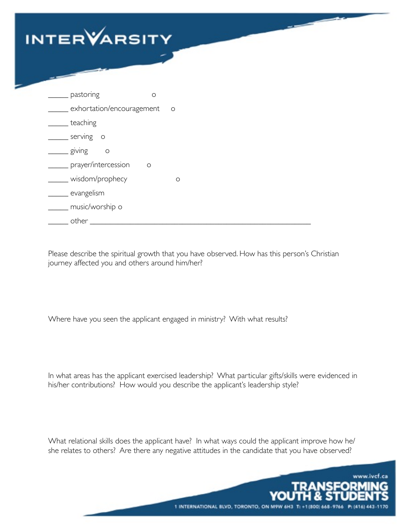

| pastoring                 | $\circ$ |         |
|---------------------------|---------|---------|
| exhortation/encouragement |         | $\circ$ |
| teaching                  |         |         |
| serving<br>$\circ$        |         |         |
| giving<br>$\circ$         |         |         |
| prayer/intercession       | $\circ$ |         |
| wisdom/prophecy           |         | $\circ$ |
| evangelism                |         |         |
| music/worship o           |         |         |
| other                     |         |         |

Please describe the spiritual growth that you have observed. How has this person's Christian journey affected you and others around him/her?

Where have you seen the applicant engaged in ministry? With what results?

In what areas has the applicant exercised leadership? What particular gifts/skills were evidenced in his/her contributions? How would you describe the applicant's leadership style?

What relational skills does the applicant have? In what ways could the applicant improve how he/ she relates to others? Are there any negative attitudes in the candidate that you have observed?

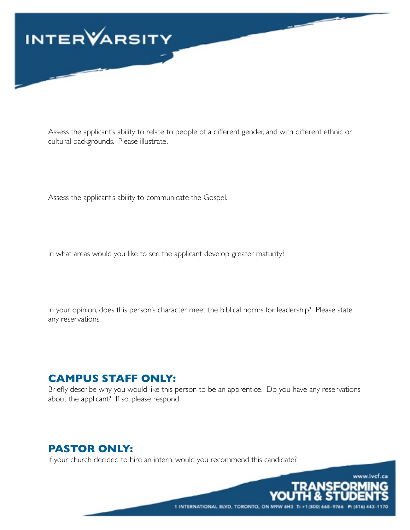

Assess the applicant's ability to relate to people of a different gender, and with different ethnic or cultural backgrounds. Please illustrate.

Assess the applicant's ability to communicate the Gospel.

In what areas would you like to see the applicant develop greater maturity?

In your opinion, does this person's character meet the biblical norms for leadership? Please state any reservations.

### **CAMPUS STAFF ONLY:**

Briefly describe why you would like this person to be an apprentice. Do you have any reservations about the applicant? If so, please respond.

1 INTERNATIONAL BLVD, TORONTO, ON M9W 6H3 T: +1 (800) 668-9766

www.ivcf.ca

TRANSFORMI

### **PASTOR ONLY:**

If your church decided to hire an intern, would you recommend this candidate?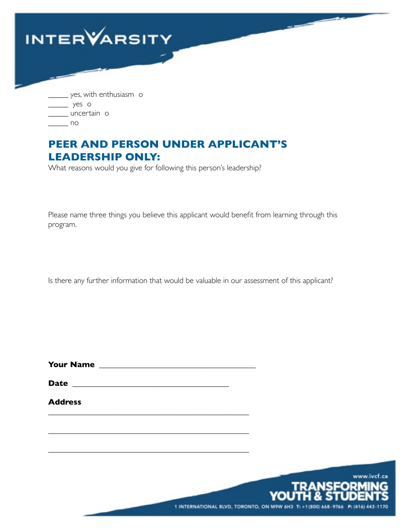

\_\_\_\_\_ no

# **PEER AND PERSON UNDER APPLICANT'S LEADERSHIP ONLY:**

What reasons would you give for following this person's leadership?

Please name three things you believe this applicant would benefit from learning through this program.

Is there any further information that would be valuable in our assessment of this applicant?

**Your Name** \_\_\_\_\_\_\_\_\_\_\_\_\_\_\_\_\_\_\_\_\_\_\_\_\_\_\_\_\_\_\_\_\_\_\_\_\_\_\_

\_\_\_\_\_\_\_\_\_\_\_\_\_\_\_\_\_\_\_\_\_\_\_\_\_\_\_\_\_\_\_\_\_\_\_\_\_\_\_\_\_\_\_\_\_\_\_\_\_\_

\_\_\_\_\_\_\_\_\_\_\_\_\_\_\_\_\_\_\_\_\_\_\_\_\_\_\_\_\_\_\_\_\_\_\_\_\_\_\_\_\_\_\_\_\_\_\_\_\_\_

\_\_\_\_\_\_\_\_\_\_\_\_\_\_\_\_\_\_\_\_\_\_\_\_\_\_\_\_\_\_\_\_\_\_\_\_\_\_\_\_\_\_\_\_\_\_\_\_\_\_

**Date** \_\_\_\_\_\_\_\_\_\_\_\_\_\_\_\_\_\_\_\_\_\_\_\_\_\_\_\_\_\_\_\_\_\_\_\_\_\_\_

**Address**